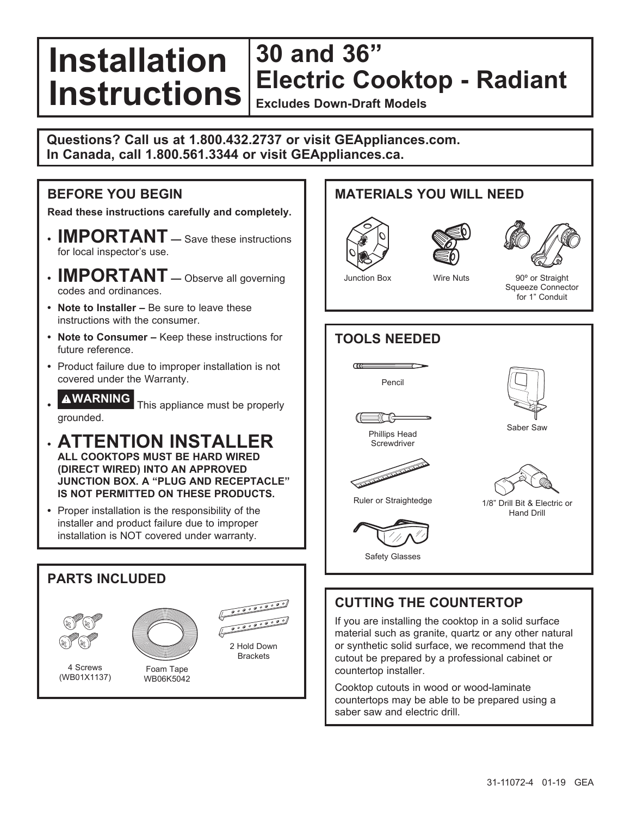#### **Installation Instructions 30 and 36" Electric Cooktop - Radiant Excludes Down-Draft Models**

**Questions? Call us at 1.800.432.2737 or visit GEAppliances.com. In Canada, call 1.800.561.3344 or visit GEAppliances.ca.**

### **BEFORE YOU BEGIN**

**Read these instructions carefully and completely.**

- **IMPORTANT —** Save these instructions for local inspector's use.
- **IMPORTANT —** Observe all governing codes and ordinances.
- **Note to Installer** Be sure to leave these instructions with the consumer.
- **Note to Consumer** Keep these instructions for future reference.
- Product failure due to improper installation is not covered under the Warranty.
- **WARNING** This appliance must be properly grounded.
- **ATTENTION INSTALLER ALL COOKTOPS MUST BE HARD WIRED (DIRECT WIRED) INTO AN APPROVED JUNCTION BOX. A "PLUG AND RECEPTACLE" IS NOT PERMITTED ON THESE PRODUCTS.**
- Proper installation is the responsibility of the installer and product failure due to improper installation is NOT covered under warranty.

### **PARTS INCLUDED** 0000000000 2 Hold Down **Brackets** 4 Screws Foam Tape (WB01X1137) WB06K5042

# Junction Box Wire Nuts 90° or Straight Squeeze Connector for 1" Conduit **TOOLS NEEDED CILLE** Pencil Saber Saw Phillips Head **Screwdriver** The contract of the contract of the contract of the contract of the contract of Ruler or Straightedge 1/8" Drill Bit & Electric or Hand Drill Safety Glasses **CUTTING THE COUNTERTOP** If you are installing the cooktop in a solid surface

**MATERIALS YOU WILL NEED**

material such as granite, quartz or any other natural or synthetic solid surface, we recommend that the cutout be prepared by a professional cabinet or countertop installer.

Cooktop cutouts in wood or wood-laminate countertops may be able to be prepared using a saber saw and electric drill.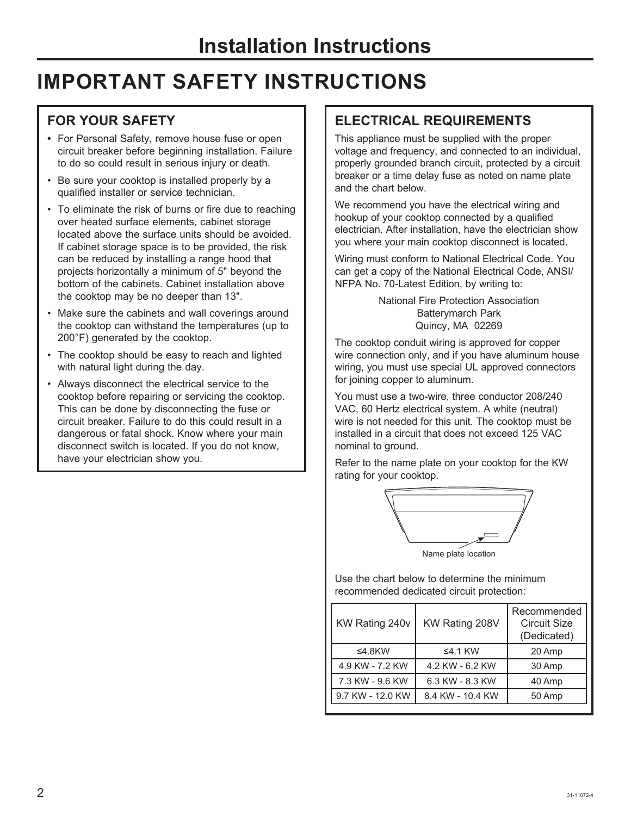# **IMPORTANT SAFETY INSTRUCTIONS**

### **FOR YOUR SAFETY**

- For Personal Safety, remove house fuse or open circuit breaker before beginning installation. Failure to do so could result in serious injury or death.
- Be sure your cooktop is installed properly by a qualified installer or service technician.
- To eliminate the risk of burns or fire due to reaching over heated surface elements, cabinet storage located above the surface units should be avoided. If cabinet storage space is to be provided, the risk can be reduced by installing a range hood that projects horizontally a minimum of 5" beyond the bottom of the cabinets. Cabinet installation above the cooktop may be no deeper than 13".
- Make sure the cabinets and wall coverings around the cooktop can withstand the temperatures (up to 200°F) generated by the cooktop.
- The cooktop should be easy to reach and lighted with natural light during the day.
- Always disconnect the electrical service to the cooktop before repairing or servicing the cooktop. This can be done by disconnecting the fuse or circuit breaker. Failure to do this could result in a dangerous or fatal shock. Know where your main disconnect switch is located. If you do not know, have your electrician show you.

### **ELECTRICAL REQUIREMENTS**

This appliance must be supplied with the proper voltage and frequency, and connected to an individual, properly grounded branch circuit, protected by a circuit breaker or a time delay fuse as noted on name plate and the chart below.

We recommend you have the electrical wiring and hookup of your cooktop connected by a qualified electrician. After installation, have the electrician show you where your main cooktop disconnect is located.

Wiring must conform to National Electrical Code. You can get a copy of the National Electrical Code, ANSI/ NFPA No. 70-Latest Edition, by writing to:

> National Fire Protection Association Batterymarch Park Quincy, MA 02269

The cooktop conduit wiring is approved for copper wire connection only, and if you have aluminum house wiring, you must use special UL approved connectors for joining copper to aluminum.

You must use a two-wire, three conductor 208/240 VAC, 60 Hertz electrical system. A white (neutral) wire is not needed for this unit. The cooktop must be installed in a circuit that does not exceed 125 VAC nominal to ground.

Refer to the name plate on your cooktop for the KW rating for your cooktop.



Use the chart below to determine the minimum recommended dedicated circuit protection:

| KW Rating 240v   | KW Rating 208V   | Recommended<br>Circuit Size<br>(Dedicated) |
|------------------|------------------|--------------------------------------------|
| ≤4.8 $KW$        | $\leq$ 4.1 KW    | 20 Amp                                     |
| 4.9 KW - 7.2 KW  | 4.2 KW - 6.2 KW  | 30 Amp                                     |
| 7.3 KW - 9.6 KW  | 6.3 KW - 8.3 KW  | 40 Amp                                     |
| 9.7 KW - 12.0 KW | 8.4 KW - 10.4 KW | 50 Amp                                     |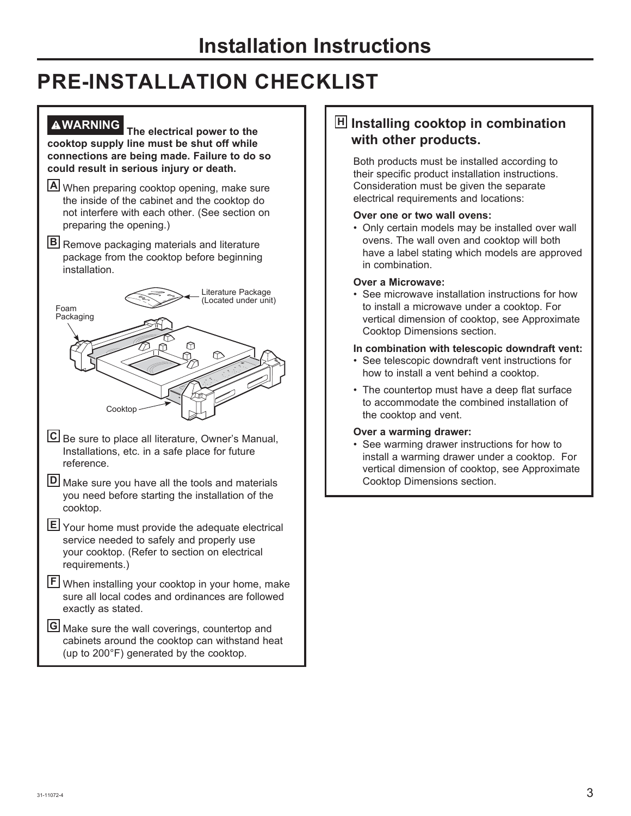# **PRE-INSTALLATION CHECKLIST**

**WARNING The electrical power to the cooktop supply line must be shut off while connections are being made. Failure to do so could result in serious injury or death.**

- **A** When preparing cooktop opening, make sure the inside of the cabinet and the cooktop do not interfere with each other. (See section on preparing the opening.)
- **B** Remove packaging materials and literature package from the cooktop before beginning installation.



| $5.0001$ , as stated.                                                |
|----------------------------------------------------------------------|
| $\overline{\mathbf{G}}$ Make sure the wall coverings, countertop and |
| cabinets around the cooktop can withstand heat                       |
| (up to 200°F) generated by the cooktop.                              |

### **H Installing cooktop in combination with other products.**

 Both products must be installed according to their specific product installation instructions. Consideration must be given the separate electrical requirements and locations:

#### **Over one or two wall ovens:**

 • Only certain models may be installed over wall ovens. The wall oven and cooktop will both have a label stating which models are approved in combination.

#### **Over a Microwave:**

 • See microwave installation instructions for how to install a microwave under a cooktop. For vertical dimension of cooktop, see Approximate Cooktop Dimensions section.

#### **In combination with telescopic downdraft vent:**

- See telescopic downdraft vent instructions for how to install a vent behind a cooktop.
- The countertop must have a deep flat surface to accommodate the combined installation of the cooktop and vent.

#### **Over a warming drawer:**

 • See warming drawer instructions for how to install a warming drawer under a cooktop. For vertical dimension of cooktop, see Approximate Cooktop Dimensions section.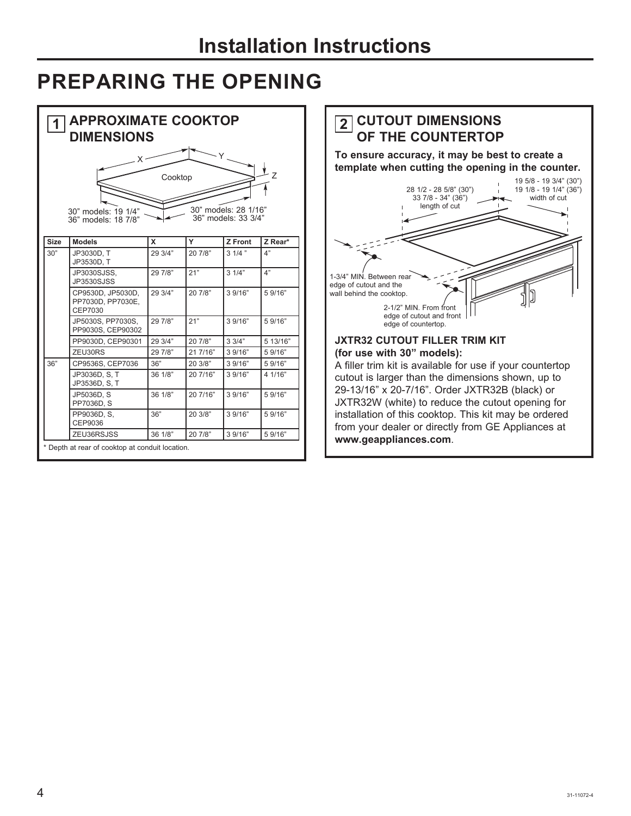# **PREPARING THE OPENING**

| <b>APPROXIMATE COOKTOP</b><br><b>DIMENSIONS</b><br>Cooktop<br>30" models: 28 1/16"<br>30" models: 19 1/4"<br>36" models: 33 3/4"<br>36" models: 18 7/8" |                                                   |         |          |          |          | <b>CUTOUT DIMENSIONS</b><br>2 <br>OF THE COUNTERTOP<br>To ensure accuracy, it may be best to create a<br>template when cutting the opening in the counter.<br>19 5/8 - 19 3/4" (30")<br>28 1/2 - 28 5/8" (30")<br>19 1/8 - 19 1/4" (36")<br>width of cut<br>33 7/8 - 34" (36")<br>length of cut |  |
|---------------------------------------------------------------------------------------------------------------------------------------------------------|---------------------------------------------------|---------|----------|----------|----------|-------------------------------------------------------------------------------------------------------------------------------------------------------------------------------------------------------------------------------------------------------------------------------------------------|--|
| <b>Size</b>                                                                                                                                             | <b>Models</b>                                     | X       | Y        | Z Front  | Z Rear*  |                                                                                                                                                                                                                                                                                                 |  |
| 30"                                                                                                                                                     | JP3030D. T<br>JP3530D, T                          | 29 3/4" | 20 7/8"  | $31/4$ " | 4"       |                                                                                                                                                                                                                                                                                                 |  |
|                                                                                                                                                         | JP3030SJSS.<br><b>JP3530SJSS</b>                  | 29 7/8" | 21"      | 31/4"    | 4"       | 1-3/4" MIN. Between rear<br>edge of cutout and the                                                                                                                                                                                                                                              |  |
|                                                                                                                                                         | CP9530D, JP5030D,<br>PP7030D, PP7030E,<br>CEP7030 | 29 3/4" | 20 7/8"  | 3 9/16"  | 5 9/16"  | wall behind the cooktop.<br>2-1/2" MIN. From front                                                                                                                                                                                                                                              |  |
|                                                                                                                                                         | JP5030S, PP7030S,<br>PP9030S, CEP90302            | 29 7/8" | 21"      | 39/16"   | 5 9/16"  | edge of cutout and front<br>edge of countertop.                                                                                                                                                                                                                                                 |  |
|                                                                                                                                                         | PP9030D, CEP90301                                 | 29 3/4" | 20 7/8"  | 33/4"    | 5 13/16" | <b>JXTR32 CUTOUT FILLER TRIM KIT</b>                                                                                                                                                                                                                                                            |  |
|                                                                                                                                                         | ZEU30RS                                           | 29 7/8" | 21 7/16" | 3 9/16"  | 5 9/16"  | (for use with 30" models):                                                                                                                                                                                                                                                                      |  |
| 36"                                                                                                                                                     | CP9536S, CEP7036                                  | 36"     | 20.3/8"  | 3 9/16"  | 59/16"   | A filler trim kit is available for use if your countertop                                                                                                                                                                                                                                       |  |
|                                                                                                                                                         | JP3036D, S. T.<br>JP3536D, S. T.                  | 36 1/8" | 20 7/16" | 3 9/16"  | 4 1/16"  | cutout is larger than the dimensions shown, up to                                                                                                                                                                                                                                               |  |
|                                                                                                                                                         | JP5036D, S<br>PP7036D, S                          | 36 1/8" | 20 7/16" | 3 9/16"  | 5 9/16"  | 29-13/16" x 20-7/16". Order JXTR32B (black) or<br>JXTR32W (white) to reduce the cutout opening for                                                                                                                                                                                              |  |
|                                                                                                                                                         | PP9036D, S.<br>CEP9036                            | 36"     | 20 3/8"  | 3 9/16"  | 5 9/16"  | installation of this cooktop. This kit may be ordered<br>from your dealer or directly from GE Appliances at                                                                                                                                                                                     |  |
|                                                                                                                                                         | ZEU36RSJSS                                        | 36 1/8" | 20 7/8"  | 3 9/16"  | 5 9/16"  |                                                                                                                                                                                                                                                                                                 |  |
|                                                                                                                                                         | * Depth at rear of cooktop at conduit location.   |         |          |          |          | www.geappliances.com.                                                                                                                                                                                                                                                                           |  |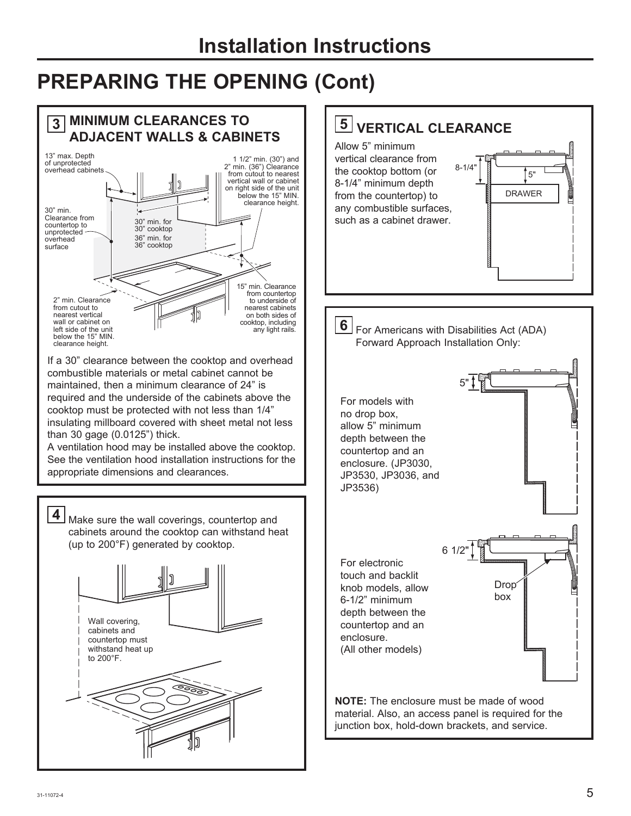# **Installation Instructions**

# **PREPARING THE OPENING (Cont)**



5"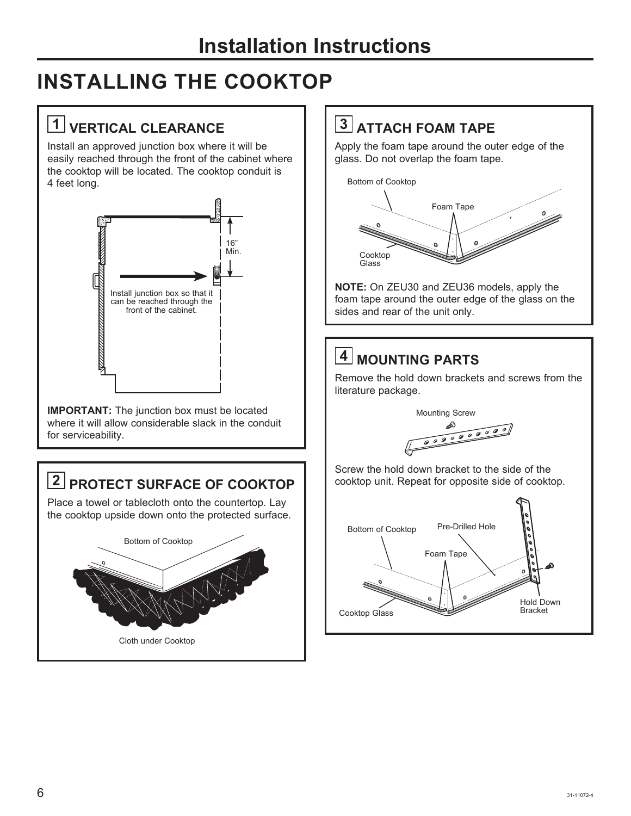# **INSTALLING THE COOKTOP**

# **1 VERTICAL CLEARANCE**

Install an approved junction box where it will be easily reached through the front of the cabinet where the cooktop will be located. The cooktop conduit is 4 feet long.



**IMPORTANT:** The junction box must be located where it will allow considerable slack in the conduit for serviceability.

## **2 PROTECT SURFACE OF COOKTOP**  $\vert \cdot \vert$  cooktop unit. Repeat for opposite side of cooktop. Place a towel or tablecloth onto the countertop. Lay

the cooktop upside down onto the protected surface. Bottom of Cooktop Cloth under Cooktop

## **3 ATTACH FOAM TAPE**

Apply the foam tape around the outer edge of the glass. Do not overlap the foam tape.



**NOTE:** On ZEU30 and ZEU36 models, apply the foam tape around the outer edge of the glass on the sides and rear of the unit only.

# **4 MOUNTING PARTS**

Remove the hold down brackets and screws from the literature package.

Mounting Screw

0000000000 ௸

Screw the hold down bracket to the side of the

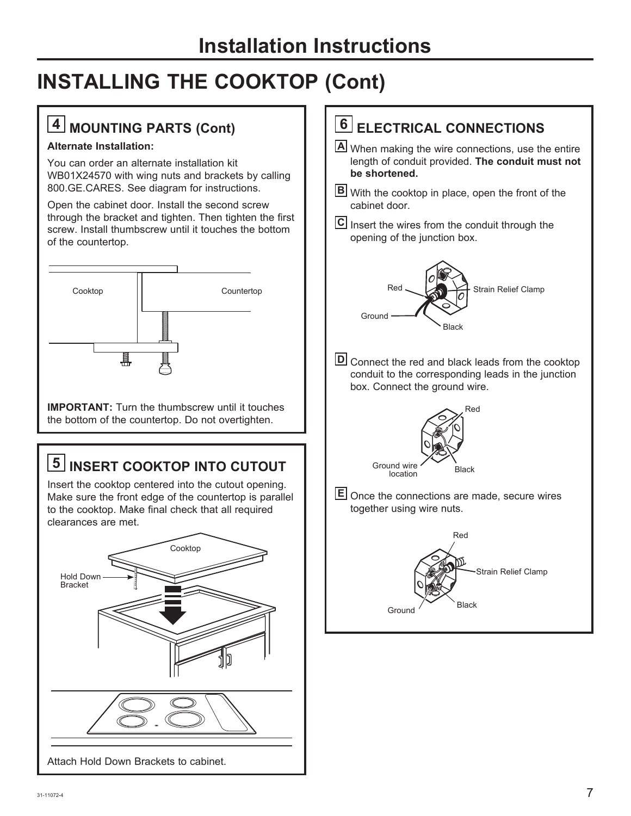# **INSTALLING THE COOKTOP (Cont)**

## **4 MOUNTING PARTS (Cont)**

#### **Alternate Installation:**

You can order an alternate installation kit WB01X24570 with wing nuts and brackets by calling 800.GE.CARES. See diagram for instructions.

Open the cabinet door. Install the second screw through the bracket and tighten. Then tighten the first screw. Install thumbscrew until it touches the bottom of the countertop.



**IMPORTANT:** Turn the thumbscrew until it touches the bottom of the countertop. Do not overtighten.

# **5 INSERT COOKTOP INTO CUTOUT**

Insert the cooktop centered into the cutout opening. Make sure the front edge of the countertop is parallel to the cooktop. Make final check that all required clearances are met.



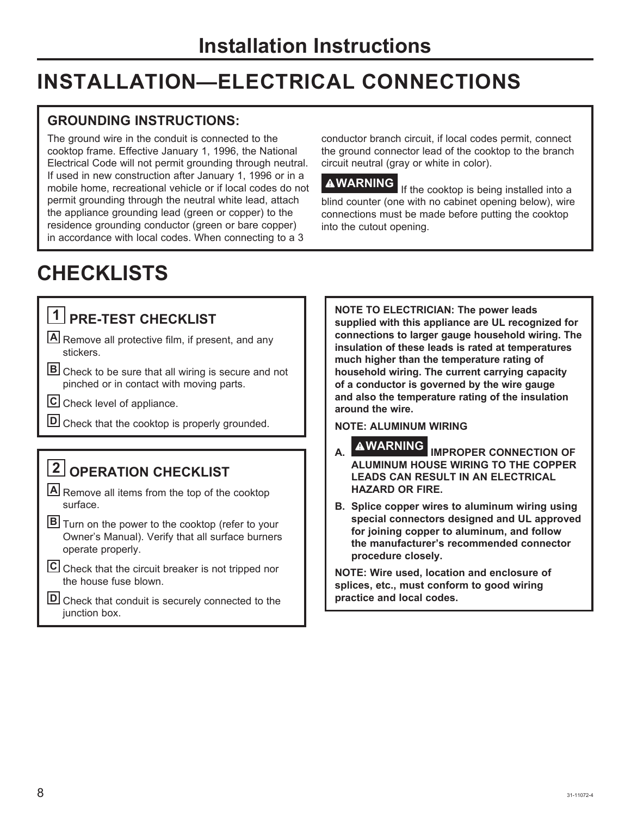# **INSTALLATION—ELECTRICAL CONNECTIONS**

### **GROUNDING INSTRUCTIONS:**

The ground wire in the conduit is connected to the cooktop frame. Effective January 1, 1996, the National Electrical Code will not permit grounding through neutral. If used in new construction after January 1, 1996 or in a mobile home, recreational vehicle or if local codes do not permit grounding through the neutral white lead, attach the appliance grounding lead (green or copper) to the residence grounding conductor (green or bare copper) in accordance with local codes. When connecting to a 3

conductor branch circuit, if local codes permit, connect the ground connector lead of the cooktop to the branch circuit neutral (gray or white in color).

**AWARNING** If the cooktop is being installed into a blind counter (one with no cabinet opening below), wire connections must be made before putting the cooktop into the cutout opening.

# **CHECKLISTS**

# **1 PRE-TEST CHECKLIST**

- **A** Remove all protective film, if present, and any stickers.
- **B** Check to be sure that all wiring is secure and not pinched or in contact with moving parts.
- **C** Check level of appliance.
- **D** Check that the cooktop is properly grounded.

# **2 OPERATION CHECKLIST**

- **A** Remove all items from the top of the cooktop surface.
- **B** Turn on the power to the cooktop (refer to your Owner's Manual). Verify that all surface burners operate properly.
- **C** Check that the circuit breaker is not tripped nor the house fuse blown.
- **D** Check that conduit is securely connected to the junction box.

**NOTE TO ELECTRICIAN: The power leads supplied with this appliance are UL recognized for connections to larger gauge household wiring. The insulation of these leads is rated at temperatures much higher than the temperature rating of household wiring. The current carrying capacity of a conductor is governed by the wire gauge and also the temperature rating of the insulation around the wire.**

#### **NOTE: ALUMINUM WIRING**

- **A. WARNING IMPROPER CONNECTION OF ALUMINUM HOUSE WIRING TO THE COPPER LEADS CAN RESULT IN AN ELECTRICAL HAZARD OR FIRE.**
- **B. Splice copper wires to aluminum wiring using special connectors designed and UL approved for joining copper to aluminum, and follow the manufacturer's recommended connector procedure closely.**

**NOTE: Wire used, location and enclosure of splices, etc., must conform to good wiring practice and local codes.**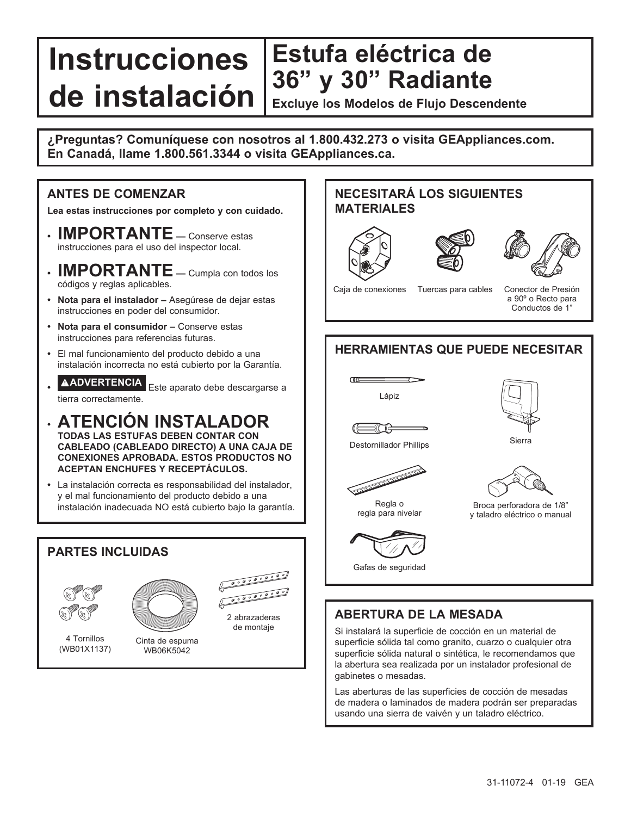### **Instrucciones de instalación Excluye los Modelos de Flujo Descendente Estufa eléctrica de 36" y 30" Radiante**

**¿Preguntas? Comuníquese con nosotros al 1.800.432.273 o visita GEAppliances.com. En Canadá, llame 1.800.561.3344 o visita GEAppliances.ca.**

#### **ANTES DE COMENZAR**

**Lea estas instrucciones por completo y con cuidado.**

- **IMPORTANTE —** Conserve estas instrucciones para el uso del inspector local.
- **IMPORTANTE —** Cumpla con todos los códigos y reglas aplicables.
- **Nota para el instalador** Asegúrese de dejar estas instrucciones en poder del consumidor.
- **Nota para el consumidor** Conserve estas instrucciones para referencias futuras.
- El mal funcionamiento del producto debido a una instalación incorrecta no está cubierto por la Garantía.
- **ADVERTENCIA** Este aparato debe descargarse a tierra correctamente.
- **ATENCIÓN INSTALADOR TODAS LAS ESTUFAS DEBEN CONTAR CON CABLEADO (CABLEADO DIRECTO) A UNA CAJA DE CONEXIONES APROBADA. ESTOS PRODUCTOS NO ACEPTAN ENCHUFES Y RECEPTÁCULOS.**
- La instalación correcta es responsabilidad del instalador, y el mal funcionamiento del producto debido a una instalación inadecuada NO está cubierto bajo la garantía.

#### **PARTES INCLUIDAS**







4 Tornillos (WB01X1137)

Cinta de espuma WB06K5042

### **NECESITARÁ LOS SIGUIENTES MATERIALES**







Caja de conexiones Tuercas para cables

Conector de Presión a 90º o Recto para Conductos de 1"

### **HERRAMIENTAS QUE PUEDE NECESITAR**







31 (TR









Broca perforadora de 1/8" y taladro eléctrico o manual



Gafas de seguridad

### **ABERTURA DE LA MESADA**

Si instalará la superficie de cocción en un material de superficie sólida tal como granito, cuarzo o cualquier otra superficie sólida natural o sintética, le recomendamos que la abertura sea realizada por un instalador profesional de gabinetes o mesadas.

Las aberturas de las superficies de cocción de mesadas de madera o laminados de madera podrán ser preparadas usando una sierra de vaivén y un taladro eléctrico.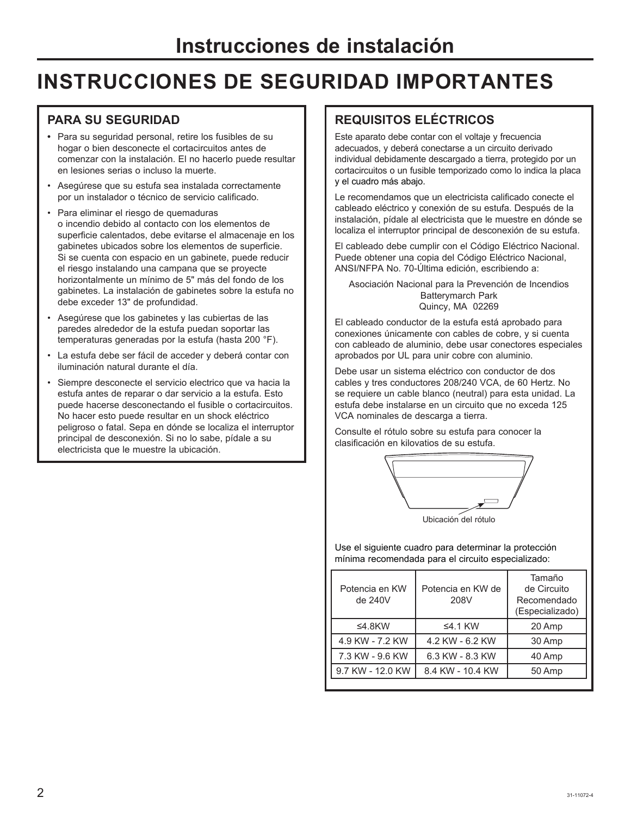# **INSTRUCCIONES DE SEGURIDAD IMPORTANTES**

### **PARA SU SEGURIDAD**

- Para su seguridad personal, retire los fusibles de su hogar o bien desconecte el cortacircuitos antes de comenzar con la instalación. El no hacerlo puede resultar en lesiones serias o incluso la muerte.
- Asegúrese que su estufa sea instalada correctamente por un instalador o técnico de servicio calificado.
- Para eliminar el riesgo de quemaduras o incendio debido al contacto con los elementos de superficie calentados, debe evitarse el almacenaje en los gabinetes ubicados sobre los elementos de superficie. Si se cuenta con espacio en un gabinete, puede reducir el riesgo instalando una campana que se proyecte horizontalmente un mínimo de 5" más del fondo de los gabinetes. La instalación de gabinetes sobre la estufa no debe exceder 13" de profundidad.
- Asegúrese que los gabinetes y las cubiertas de las paredes alrededor de la estufa puedan soportar las temperaturas generadas por la estufa (hasta 200 °F).
- La estufa debe ser fácil de acceder y deberá contar con iluminación natural durante el día.
- Siempre desconecte el servicio electrico que va hacia la estufa antes de reparar o dar servicio a la estufa. Esto puede hacerse desconectando el fusible o cortacircuitos. No hacer esto puede resultar en un shock eléctrico peligroso o fatal. Sepa en dónde se localiza el interruptor principal de desconexión. Si no lo sabe, pídale a su electricista que le muestre la ubicación.

### **REQUISITOS ELÉCTRICOS**

Este aparato debe contar con el voltaje y frecuencia adecuados, y deberá conectarse a un circuito derivado individual debidamente descargado a tierra, protegido por un cortacircuitos o un fusible temporizado como lo indica la placa y el cuadro más abajo.

Le recomendamos que un electricista calificado conecte el cableado eléctrico y conexión de su estufa. Después de la instalación, pídale al electricista que le muestre en dónde se localiza el interruptor principal de desconexión de su estufa.

El cableado debe cumplir con el Código Eléctrico Nacional. Puede obtener una copia del Código Eléctrico Nacional, ANSI/NFPA No. 70-Última edición, escribiendo a:

Asociación Nacional para la Prevención de Incendios Batterymarch Park Quincy, MA 02269

El cableado conductor de la estufa está aprobado para conexiones únicamente con cables de cobre, y si cuenta con cableado de aluminio, debe usar conectores especiales aprobados por UL para unir cobre con aluminio.

Debe usar un sistema eléctrico con conductor de dos cables y tres conductores 208/240 VCA, de 60 Hertz. No se requiere un cable blanco (neutral) para esta unidad. La estufa debe instalarse en un circuito que no exceda 125 VCA nominales de descarga a tierra.

Consulte el rótulo sobre su estufa para conocer la clasificación en kilovatios de su estufa.



Ubicación del rótulo

Use el siguiente cuadro para determinar la protección mínima recomendada para el circuito especializado:

| Potencia en KW<br>de 240V | Potencia en KW de<br>208V | Tamaño<br>de Circuito<br>Recomendado<br>(Especializado) |
|---------------------------|---------------------------|---------------------------------------------------------|
| ≤4.8 $KW$                 | $\leq$ 4.1 KW             | 20 Amp                                                  |
| 4.9 KW - 7.2 KW           | 4.2 KW - 6.2 KW           | 30 Amp                                                  |
| 7.3 KW - 9.6 KW           | 6.3 KW - 8.3 KW           | 40 Amp                                                  |
| 9.7 KW - 12.0 KW          | 8.4 KW - 10.4 KW          | 50 Amp                                                  |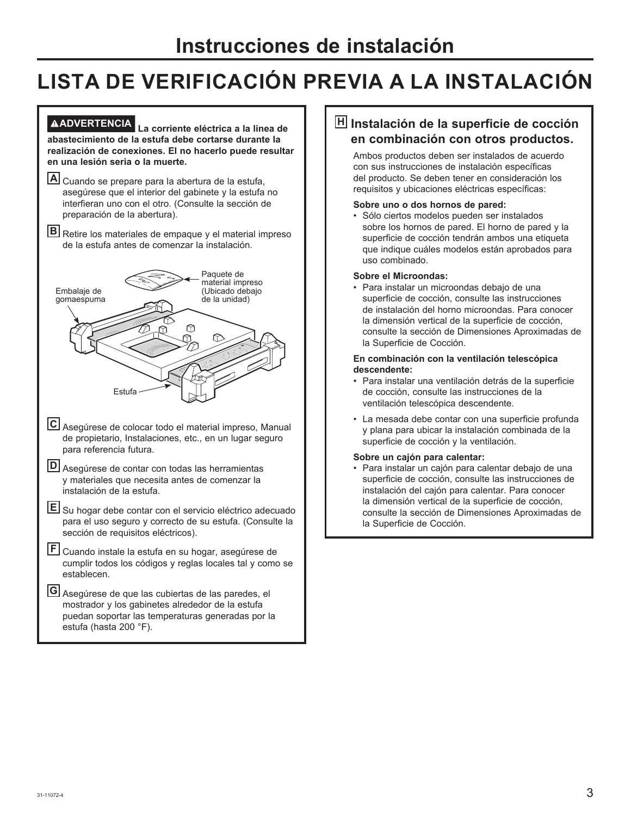# **LISTA DE VERIFICACIÓN PREVIA A LA INSTALACIÓN**

#### **ADVERTENCIA La corriente eléctrica a la linea de abastecimiento de la estufa debe cortarse durante la realización de conexiones. El no hacerlo puede resultar en una lesión seria o la muerte.**

**A** Cuando se prepare para la abertura de la estufa, asegúrese que el interior del gabinete y la estufa no interfieran uno con el otro. (Consulte la sección de preparación de la abertura).

**B** Retire los materiales de empaque y el material impreso de la estufa antes de comenzar la instalación.



- **E** Su hogar debe contar con el servicio eléctrico adecuado para el uso seguro y correcto de su estufa. (Consulte la sección de requisitos eléctricos).
- **F** Cuando instale la estufa en su hogar, asegúrese de cumplir todos los códigos y reglas locales tal y como se establecen.

**G** Asegúrese de que las cubiertas de las paredes, el mostrador y los gabinetes alrededor de la estufa puedan soportar las temperaturas generadas por la estufa (hasta 200 °F).

#### **H Instalación de la superficie de cocción en combinación con otros productos.**

 Ambos productos deben ser instalados de acuerdo con sus instrucciones de instalación específicas del producto. Se deben tener en consideración los requisitos y ubicaciones eléctricas específicas:

#### **Sobre uno o dos hornos de pared:**

 • Sólo ciertos modelos pueden ser instalados sobre los hornos de pared. El horno de pared y la superficie de cocción tendrán ambos una etiqueta que indique cuáles modelos están aprobados para uso combinado.

#### **Sobre el Microondas:**

 • Para instalar un microondas debajo de una superficie de cocción, consulte las instrucciones de instalación del horno microondas. Para conocer la dimensión vertical de la superficie de cocción, consulte la sección de Dimensiones Aproximadas de la Superficie de Cocción.

#### **En combinación con la ventilación telescópica descendente:**

- Para instalar una ventilación detrás de la superficie de cocción, consulte las instrucciones de la ventilación telescópica descendente.
- La mesada debe contar con una superficie profunda y plana para ubicar la instalación combinada de la superficie de cocción y la ventilación.

#### **Sobre un cajón para calentar:**

 • Para instalar un cajón para calentar debajo de una superficie de cocción, consulte las instrucciones de instalación del cajón para calentar. Para conocer la dimensión vertical de la superficie de cocción, consulte la sección de Dimensiones Aproximadas de la Superficie de Cocción.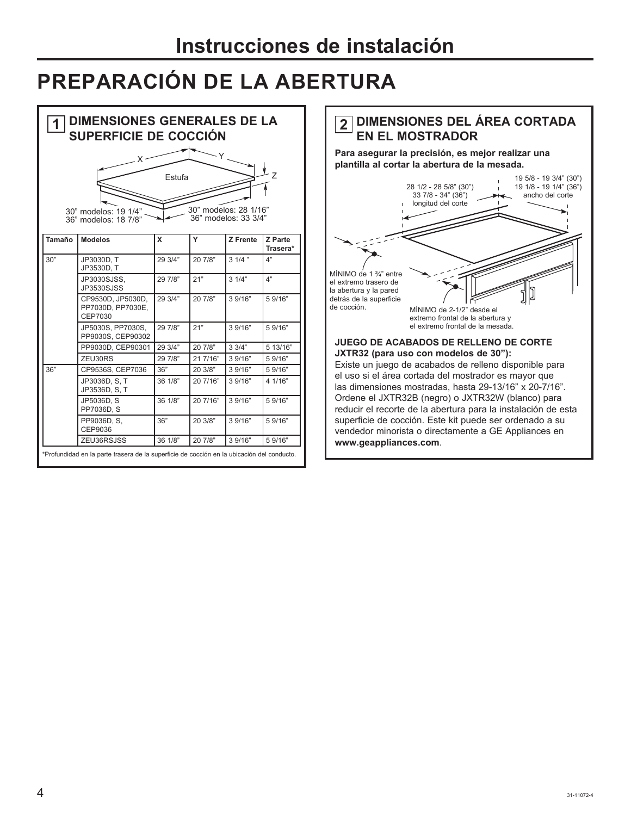# **PREPARACIÓN DE LA ABERTURA**

| <b>DIMENSIONES GENERALES DE LA</b><br>SUPERFICIE DE COCCIÓN |                                                                                            |         |          |                                               |                     |  | <b>DIMENSIONES DEL ÁREA CORTADA</b><br>$\mathbf{2}$<br><b>EN EL MOSTRADOR</b><br>Para asegurar la precisión, es mejor realizar una<br>plantilla al cortar la abertura de la mesada.                                                                                                                                                                     |
|-------------------------------------------------------------|--------------------------------------------------------------------------------------------|---------|----------|-----------------------------------------------|---------------------|--|---------------------------------------------------------------------------------------------------------------------------------------------------------------------------------------------------------------------------------------------------------------------------------------------------------------------------------------------------------|
|                                                             | 30" modelos: 19 1/4"<br>36" modelos: 18 7/8"                                               | Estufa  |          | 30" modelos: 28 1/16"<br>36" modelos: 33 3/4" |                     |  | 19 5/8 - 19 3/4" (30")<br>28 1/2 - 28 5/8" (30")<br>19 1/8 - 19 1/4" (36")<br>ancho del corte<br>33 7/8 - 34" (36")<br>longitud del corte                                                                                                                                                                                                               |
| Tamaño                                                      | <b>Modelos</b>                                                                             | X       | Y        | <b>Z</b> Frente                               | Z Parte<br>Trasera* |  |                                                                                                                                                                                                                                                                                                                                                         |
| 30"                                                         | JP3030D, T<br>JP3530D, T                                                                   | 29 3/4" | 20 7/8"  | $31/4$ "                                      | 4"                  |  |                                                                                                                                                                                                                                                                                                                                                         |
|                                                             | JP3030SJSS.<br>JP3530SJSS                                                                  | 29 7/8" | 21"      | 31/4"                                         | 4"                  |  | MÍNIMO de 1 $\frac{3}{4}$ " entre<br>el extremo trasero de<br>la abertura y la pared                                                                                                                                                                                                                                                                    |
|                                                             | CP9530D, JP5030D,<br>PP7030D, PP7030E,<br>CEP7030                                          | 29 3/4" | 20 7/8"  | 3 9/16"                                       | 5 9/16"             |  | detrás de la superficie<br>de cocción.<br>MÍNIMO de 2-1/2" desde el<br>extremo frontal de la abertura y                                                                                                                                                                                                                                                 |
|                                                             | JP5030S, PP7030S,<br>PP9030S, CEP90302                                                     | 29 7/8" | 21"      | 3.9/16"                                       | 59/16"              |  | el extremo frontal de la mesada.                                                                                                                                                                                                                                                                                                                        |
|                                                             | PP9030D, CEP90301                                                                          | 29 3/4" | 20 7/8"  | 33/4"                                         | 5 13/16"            |  | <b>JUEGO DE ACABADOS DE RELLENO DE CORTE</b>                                                                                                                                                                                                                                                                                                            |
|                                                             | ZEU30RS                                                                                    | 29 7/8" | 21 7/16" | 3 9/16"                                       | 59/16"              |  | JXTR32 (para uso con modelos de 30"):                                                                                                                                                                                                                                                                                                                   |
| 36"                                                         | CP9536S, CEP7036                                                                           | 36"     | 20 3/8"  | 3 9/16"                                       | 59/16"              |  | Existe un juego de acabados de relleno disponible para                                                                                                                                                                                                                                                                                                  |
|                                                             | JP3036D, S. T.<br>JP3536D, S, T                                                            | 36 1/8" | 20 7/16" | 3 9/16"                                       | 4 1/16"             |  | el uso si el área cortada del mostrador es mayor que<br>las dimensiones mostradas, hasta 29-13/16" x 20-7/16".<br>Ordene el JXTR32B (negro) o JXTR32W (blanco) para<br>reducir el recorte de la abertura para la instalación de esta<br>superficie de cocción. Este kit puede ser ordenado a su<br>vendedor minorista o directamente a GE Appliances en |
|                                                             | JP5036D, S<br>PP7036D, S                                                                   | 36 1/8" | 20 7/16" | 3 9/16"                                       | 5 9/16"             |  |                                                                                                                                                                                                                                                                                                                                                         |
|                                                             | PP9036D, S.<br>CEP9036                                                                     | 36"     | 20 3/8"  | 3 9/16"                                       | 5 9/16"             |  |                                                                                                                                                                                                                                                                                                                                                         |
|                                                             | ZEU36RSJSS                                                                                 | 36 1/8" | 20 7/8"  | 3 9/16"                                       | 5 9/16"             |  | www.geappliances.com.                                                                                                                                                                                                                                                                                                                                   |
|                                                             | *Profundidad en la parte trasera de la superficie de cocción en la ubicación del conducto. |         |          |                                               |                     |  |                                                                                                                                                                                                                                                                                                                                                         |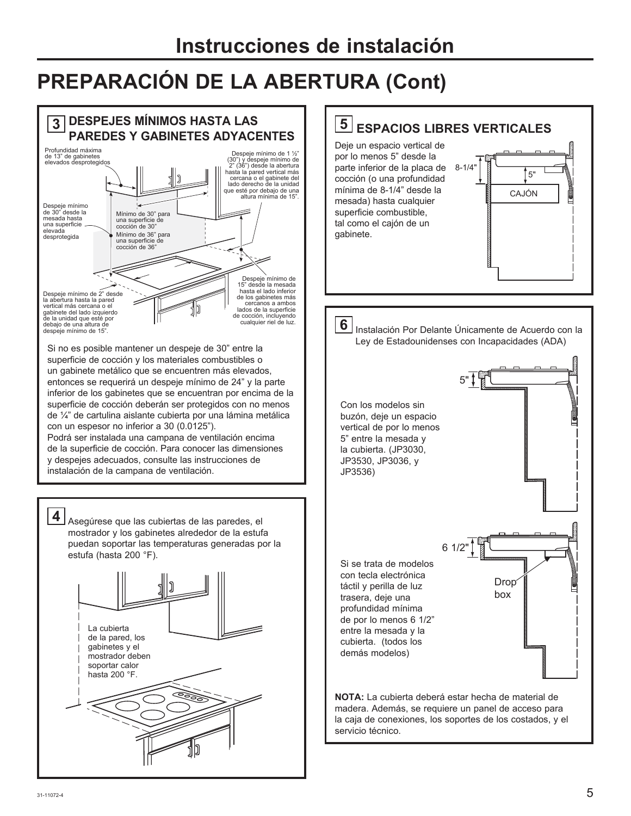# **PREPARACIÓN DE LA ABERTURA (Cont)**

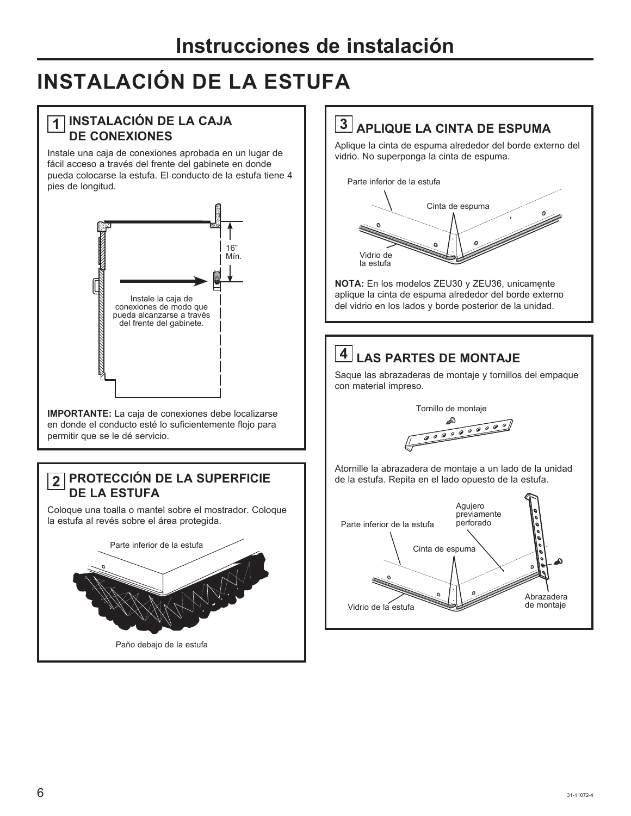# **INSTALACIÓN DE LA ESTUFA**

### **1 INSTALACIÓN DE LA CAJA DE CONEXIONES**

Instale una caja de conexiones aprobada en un lugar de fácil acceso a través del frente del gabinete en donde pueda colocarse la estufa. El conducto de la estufa tiene 4 pies de longitud.



**IMPORTANTE:** La caja de conexiones debe localizarse en donde el conducto esté lo suficientemente flojo para permitir que se le dé servicio.

### **2 PROTECCIÓN DE LA SUPERFICIE** | de la estufa. Repita en el lado opuesto de la estufa. **DE LA ESTUFA**

Coloque una toalla o mantel sobre el mostrador. Coloque la estufa al revés sobre el área protegida.



### **3 APLIQUE LA CINTA DE ESPUMA**

Aplique la cinta de espuma alrededor del borde externo del vidrio. No superponga la cinta de espuma.



**NOTA:** En los modelos ZEU30 y ZEU36, unicamente aplique la cinta de espuma alrededor del borde externo del vidrio en los lados y borde posterior de la unidad.

# **4 LAS PARTES DE MONTAJE**

Saque las abrazaderas de montaje y tornillos del empaque con material impreso.

Tornillo de montaje

000000000

Atornille la abrazadera de montaje a un lado de la unidad

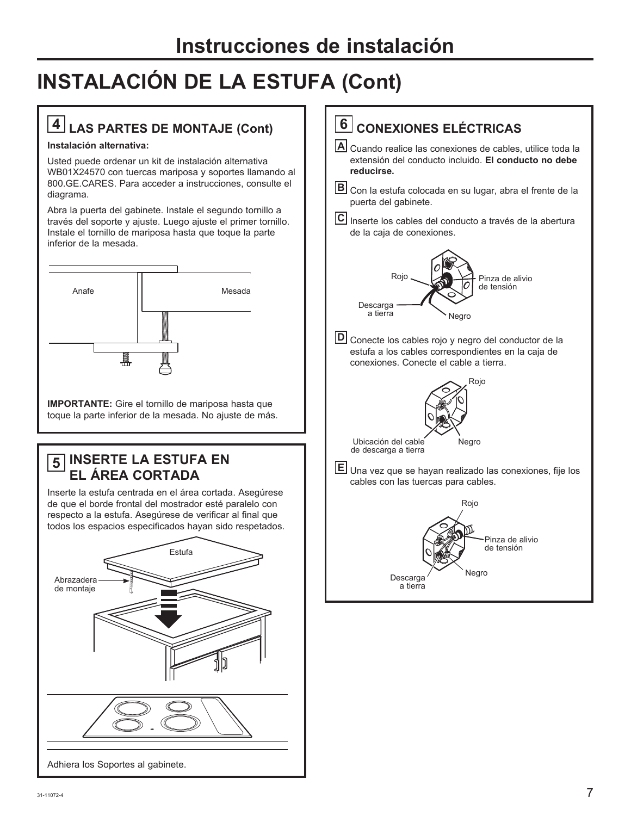# **INSTALACIÓN DE LA ESTUFA (Cont)**

# **4 LAS PARTES DE MONTAJE (Cont)**

#### **Instalación alternativa:**

Usted puede ordenar un kit de instalación alternativa WB01X24570 con tuercas mariposa y soportes llamando al 800.GE.CARES. Para acceder a instrucciones, consulte el diagrama.

Abra la puerta del gabinete. Instale el segundo tornillo a través del soporte y ajuste. Luego ajuste el primer tornillo. Instale el tornillo de mariposa hasta que toque la parte inferior de la mesada.



**IMPORTANTE:** Gire el tornillo de mariposa hasta que toque la parte inferior de la mesada. No ajuste de más.

### **5 INSERTE LA ESTUFA EN EL ÁREA CORTADA**

Inserte la estufa centrada en el área cortada. Asegúrese de que el borde frontal del mostrador esté paralelo con respecto a la estufa. Asegúrese de verificar al final que todos los espacios especificados hayan sido respetados.